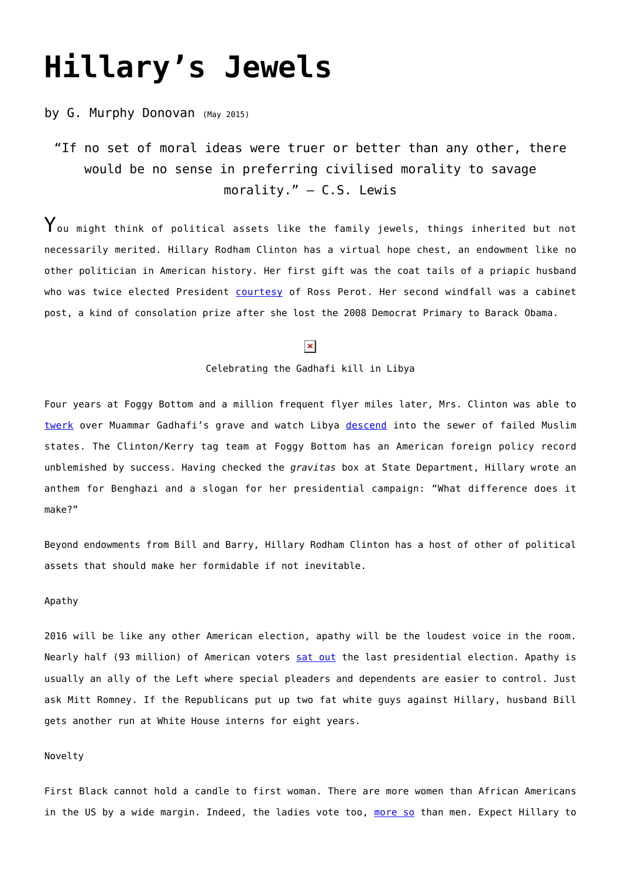# **[Hillary's Jewels](https://www.newenglishreview.org/articles/hillarys-jewels/)**

# by G. Murphy Donovan (May 2015)

# "If no set of moral ideas were truer or better than any other, there would be no sense in preferring civilised morality to savage morality." – C.S. Lewis

 $\mathbf Y$ ou might think of political assets like the family jewels, things inherited but not necessarily merited. Hillary Rodham Clinton has a virtual hope chest, an endowment like no other politician in American history. Her first gift was the coat tails of a priapic husband who was twice elected President [courtesy](http://www.pollingreport.com/hibbitts1202.htm) of Ross Perot. Her second windfall was a cabinet post, a kind of consolation prize after she lost the 2008 Democrat Primary to Barack Obama.

## $\pmb{\times}$

#### Celebrating the Gadhafi kill in Libya

Four years at Foggy Bottom and a million frequent flyer miles later, Mrs. Clinton was able to [twerk](http://www.cbsnews.com/news/clinton-on-qaddafi-we-came-we-saw-he-died/) over Muammar Gadhafi's grave and watch Libya [descend](http://www.clarionproject.org/analysis/egypt-libya-complain-lack-us-anti-terror-aid) into the sewer of failed Muslim states. The Clinton/Kerry tag team at Foggy Bottom has an American foreign policy record unblemished by success. Having checked the *gravitas* box at State Department, Hillary wrote an anthem for Benghazi and a slogan for her presidential campaign: "What difference does it make?"

Beyond endowments from Bill and Barry, Hillary Rodham Clinton has a host of other of political assets that should make her formidable if not inevitable.

#### Apathy

2016 will be like any other American election, apathy will be the loudest voice in the room. Nearly half (93 million) of American voters [sat out](http://www.abc15.com/news/national/election-results-2012-voter-turnout-lower-than-2008-and-2004-report-says) the last presidential election. Apathy is usually an ally of the Left where special pleaders and dependents are easier to control. Just ask Mitt Romney. If the Republicans put up two fat white guys against Hillary, husband Bill gets another run at White House interns for eight years.

#### Novelty

First Black cannot hold a candle to first woman. There are more women than African Americans in the US by a wide margin. Indeed, the ladies vote too, [more so](http://www.cawp.rutgers.edu/fast_facts/voters/documents/genderdiff.pdf) than men. Expect Hillary to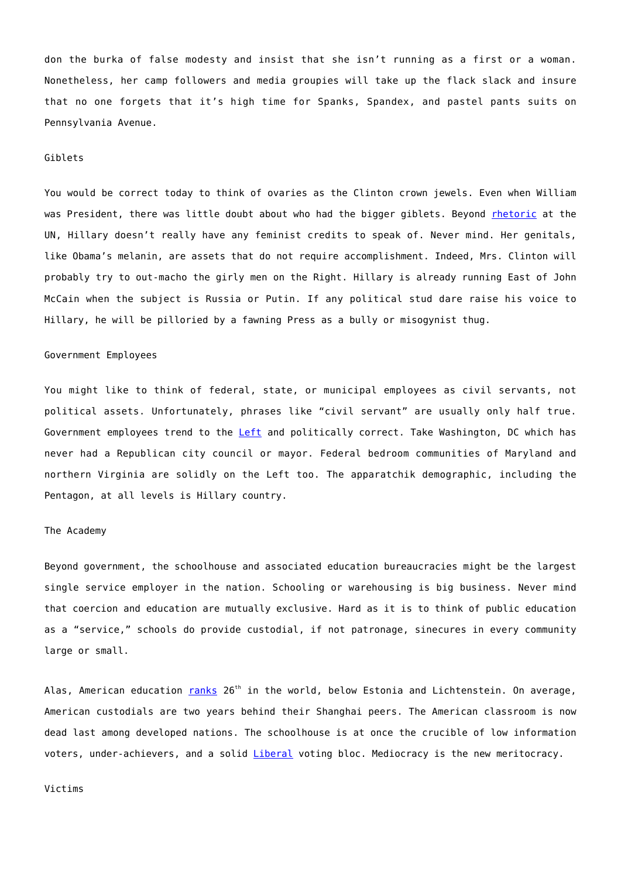don the burka of false modesty and insist that she isn't running as a first or a woman. Nonetheless, her camp followers and media groupies will take up the flack slack and insure that no one forgets that it's high time for Spanks, Spandex, and pastel pants suits on Pennsylvania Avenue.

#### Giblets

You would be correct today to think of ovaries as the Clinton crown jewels. Even when William was President, there was little doubt about who had the bigger giblets. Beyond [rhetoric](http://www.americanrhetoric.com/speeches/hillaryclintonbeijingspeech.htm) at the UN, Hillary doesn't really have any feminist credits to speak of. Never mind. Her genitals, like Obama's melanin, are assets that do not require accomplishment. Indeed, Mrs. Clinton will probably try to out-macho the girly men on the Right. Hillary is already running East of John McCain when the subject is Russia or Putin. If any political stud dare raise his voice to Hillary, he will be pilloried by a fawning Press as a bully or misogynist thug.

#### Government Employees

You might like to think of federal, state, or municipal employees as civil servants, not political assets. Unfortunately, phrases like "civil servant" are usually only half true. Government employees trend to the [Left](http://www.gallup.com/poll/146786/democrats-lead-ranks-union-state-workers.aspx) and politically correct. Take Washington, DC which has never had a Republican city council or mayor. Federal bedroom communities of Maryland and northern Virginia are solidly on the Left too. The apparatchik demographic, including the Pentagon, at all levels is Hillary country.

# The Academy

Beyond government, the schoolhouse and associated education bureaucracies might be the largest single service employer in the nation. Schooling or warehousing is big business. Never mind that coercion and education are mutually exclusive. Hard as it is to think of public education as a "service," schools do provide custodial, if not patronage, sinecures in every community large or small.

Alas, American education  $ranks$   $26<sup>th</sup>$  in the world, below Estonia and Lichtenstein. On average, American custodials are two years behind their Shanghai peers. The American classroom is now dead last among developed nations. The schoolhouse is at once the crucible of low information voters, under-achievers, and a solid *Liberal* voting bloc. Mediocracy is the new meritocracy.

#### Victims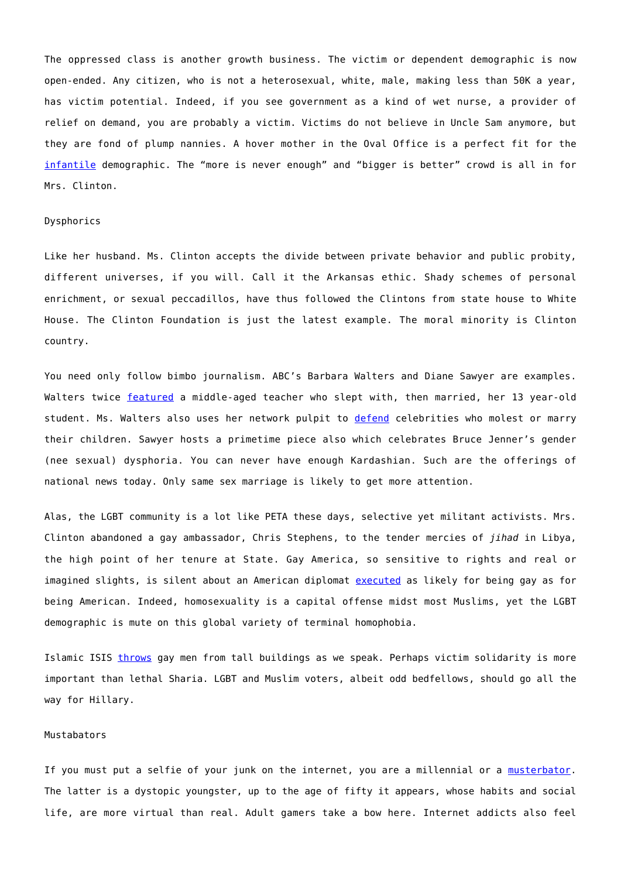The oppressed class is another growth business. The victim or dependent demographic is now open-ended. Any citizen, who is not a heterosexual, white, male, making less than 50K a year, has victim potential. Indeed, if you see government as a kind of wet nurse, a provider of relief on demand, you are probably a victim. Victims do not believe in Uncle Sam anymore, but they are fond of plump nannies. A hover mother in the Oval Office is a perfect fit for the [infantile](http://www.forbes.com/sites/merrillmatthews/2014/07/02/weve-crossed-the-tipping-point-most-americans-now-receive-government-benefits/) demographic. The "more is never enough" and "bigger is better" crowd is all in for Mrs. Clinton.

#### Dysphorics

Like her husband. Ms. Clinton accepts the divide between private behavior and public probity, different universes, if you will. Call it the Arkansas ethic. Shady schemes of personal enrichment, or sexual peccadillos, have thus followed the Clintons from state house to White House. The Clinton Foundation is just the latest example. The moral minority is Clinton country.

You need only follow bimbo journalism. ABC's Barbara Walters and Diane Sawyer are examples. Walters twice [featured](http://www.ibtimes.com/barbara-walters-calls-mary-kay-letourneaus-child-rape-vili-fualaau-relationship-1879792) a middle-aged teacher who slept with, then married, her 13 year-old student. Ms. Walters also uses her network pulpit to [defend](http://time.com/3883/barbara-walters-defends-woody-allen-amid-abuse-claims/) celebrities who molest or marry their children. Sawyer hosts a primetime piece also which celebrates Bruce Jenner's gender (nee sexual) dysphoria. You can never have enough Kardashian. Such are the offerings of national news today. Only same sex marriage is likely to get more attention.

Alas, the LGBT community is a lot like PETA these days, selective yet militant activists. Mrs. Clinton abandoned a gay ambassador, Chris Stephens, to the tender mercies of *jihad* in Libya, the high point of her tenure at State. Gay America, so sensitive to rights and real or imagined slights, is silent about an American diplomat [executed](http://www.frontpagemag.com/2012/mark-tapson/the-sexual-pathology-of-the-libyan-attackers/) as likely for being gay as for being American. Indeed, homosexuality is a capital offense midst most Muslims, yet the LGBT demographic is mute on this global variety of terminal homophobia.

Islamic ISIS [throws](http://www.cnn.com/videos/world/2015/03/05/dnt-damon-isis-gay-executions.cnn) gay men from tall buildings as we speak. Perhaps victim solidarity is more important than lethal Sharia. LGBT and Muslim voters, albeit odd bedfellows, should go all the way for Hillary.

#### Mustabators

If you must put a selfie of your junk on the internet, you are a millennial or a [musterbator](http://www.newenglishreview.org/G._Murphy_Donovan/The_Age_of_Musterbation/). The latter is a dystopic youngster, up to the age of fifty it appears, whose habits and social life, are more virtual than real. Adult gamers take a bow here. Internet addicts also feel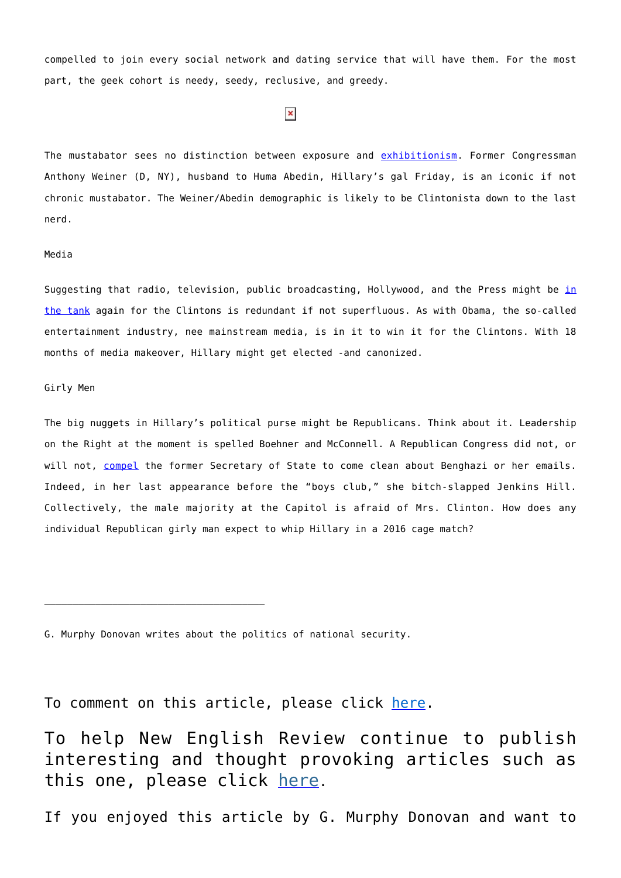compelled to join every social network and dating service that will have them. For the most part, the geek cohort is needy, seedy, reclusive, and greedy.

# $\pmb{\times}$

The mustabator sees no distinction between exposure and [exhibitionism](http://www.foxnews.com/politics/2011/06/16/timeline-weiner-sexting-scandal/). Former Congressman Anthony Weiner (D, NY), husband to Huma Abedin, Hillary's gal Friday, is an iconic if not chronic mustabator. The Weiner/Abedin demographic is likely to be Clintonista down to the last nerd.

## Media

Suggest[in](http://abcnews.go.com/Politics/hillary-clinton-12-moments-define-woman-president/story?id=30230478)g that radio, television, public broadcasting, Hollywood, and the Press might be in [the tank](http://abcnews.go.com/Politics/hillary-clinton-12-moments-define-woman-president/story?id=30230478) again for the Clintons is redundant if not superfluous. As with Obama, the so-called entertainment industry, nee mainstream media, is in it to win it for the Clintons. With 18 months of media makeover, Hillary might get elected -and canonized.

#### Girly Men

The big nuggets in Hillary's political purse might be Republicans. Think about it. Leadership on the Right at the moment is spelled Boehner and McConnell. A Republican Congress did not, or will not, [compel](http://www.nationalreview.com/corner/416125/hillary-clinton-defies-subpoena-wiped-her-server-clean-joel-gehrke) the former Secretary of State to come clean about Benghazi or her emails. Indeed, in her last appearance before the "boys club," she bitch-slapped Jenkins Hill. Collectively, the male majority at the Capitol is afraid of Mrs. Clinton. How does any individual Republican girly man expect to whip Hillary in a 2016 cage match?

G. Murphy Donovan writes about the politics of national security.

To comment on this article, please click [here](http://www.newenglishreview.org/blog_direct_link.cfm/blog_id/60736/Hillarys-Jewels).

To help New English Review continue to publish interesting and thought provoking articles such as this one, please click [here](http://www.newenglishreview.org/custpage.cfm/frm/3675/sec_id/3675).

If you enjoyed this article by G. Murphy Donovan and want to